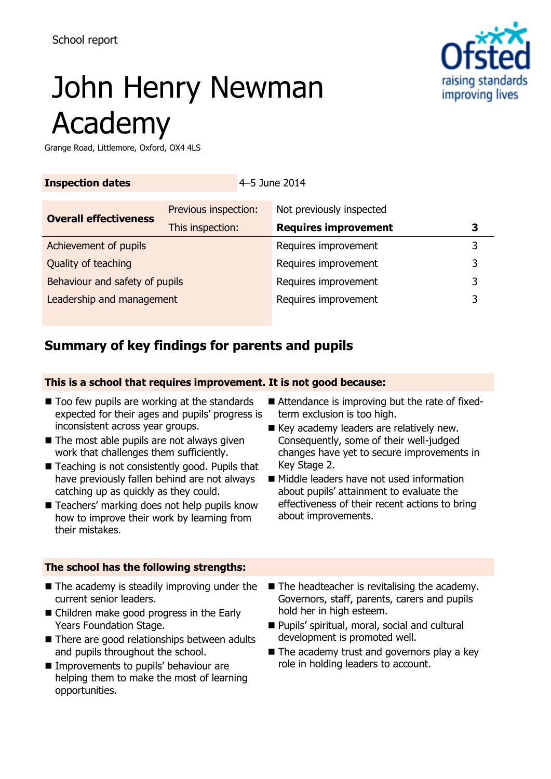# raising standards improving lives

# John Henry Newman Academy

Grange Road, Littlemore, Oxford, OX4 4LS

| <b>Inspection dates</b>        |                                          | 4–5 June 2014 |                                                         |   |
|--------------------------------|------------------------------------------|---------------|---------------------------------------------------------|---|
| <b>Overall effectiveness</b>   | Previous inspection:<br>This inspection: |               | Not previously inspected<br><b>Requires improvement</b> | З |
| Achievement of pupils          |                                          |               | Requires improvement                                    | 3 |
| Quality of teaching            |                                          |               | Requires improvement                                    | 3 |
| Behaviour and safety of pupils |                                          |               | Requires improvement                                    | 3 |
| Leadership and management      |                                          |               | Requires improvement                                    | 3 |

# **Summary of key findings for parents and pupils**

## **This is a school that requires improvement. It is not good because:**

- Too few pupils are working at the standards expected for their ages and pupils' progress is inconsistent across year groups.
- $\blacksquare$  The most able pupils are not always given work that challenges them sufficiently.
- Teaching is not consistently good. Pupils that have previously fallen behind are not always catching up as quickly as they could.
- Teachers' marking does not help pupils know how to improve their work by learning from their mistakes.

### **The school has the following strengths:**

- $\blacksquare$  The academy is steadily improving under the current senior leaders.
- Children make good progress in the Early Years Foundation Stage.
- There are good relationships between adults and pupils throughout the school.
- **Improvements to pupils' behaviour are** helping them to make the most of learning opportunities.
- Attendance is improving but the rate of fixedterm exclusion is too high.
- Key academy leaders are relatively new. Consequently, some of their well-judged changes have yet to secure improvements in Key Stage 2.
- Middle leaders have not used information about pupils' attainment to evaluate the effectiveness of their recent actions to bring about improvements.
- The headteacher is revitalising the academy. Governors, staff, parents, carers and pupils hold her in high esteem.
- Pupils' spiritual, moral, social and cultural development is promoted well.
- $\blacksquare$  The academy trust and governors play a key role in holding leaders to account.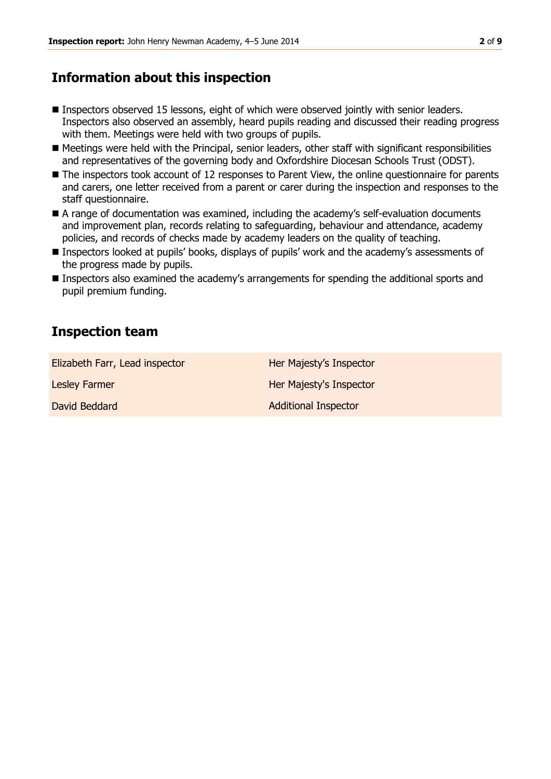## **Information about this inspection**

- Inspectors observed 15 lessons, eight of which were observed jointly with senior leaders. Inspectors also observed an assembly, heard pupils reading and discussed their reading progress with them. Meetings were held with two groups of pupils.
- Meetings were held with the Principal, senior leaders, other staff with significant responsibilities and representatives of the governing body and Oxfordshire Diocesan Schools Trust (ODST).
- The inspectors took account of 12 responses to Parent View, the online questionnaire for parents and carers, one letter received from a parent or carer during the inspection and responses to the staff questionnaire.
- A range of documentation was examined, including the academy's self-evaluation documents and improvement plan, records relating to safeguarding, behaviour and attendance, academy policies, and records of checks made by academy leaders on the quality of teaching.
- Inspectors looked at pupils' books, displays of pupils' work and the academy's assessments of the progress made by pupils.
- Inspectors also examined the academy's arrangements for spending the additional sports and pupil premium funding.

# **Inspection team**

| Elizabeth Farr, Lead inspector | Her Majesty's Inspector     |
|--------------------------------|-----------------------------|
| Lesley Farmer                  | Her Majesty's Inspector     |
| David Beddard                  | <b>Additional Inspector</b> |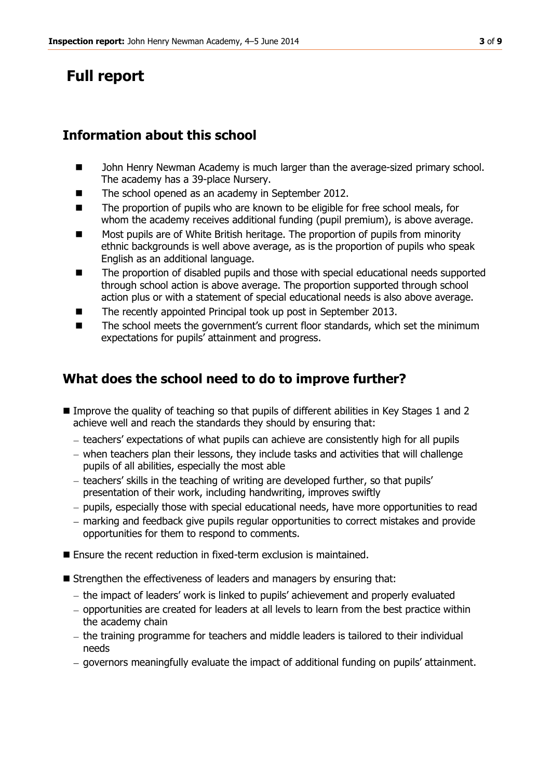# **Full report**

# **Information about this school**

- John Henry Newman Academy is much larger than the average-sized primary school. The academy has a 39-place Nursery.
- The school opened as an academy in September 2012.
- The proportion of pupils who are known to be eligible for free school meals, for whom the academy receives additional funding (pupil premium), is above average.
- Most pupils are of White British heritage. The proportion of pupils from minority ethnic backgrounds is well above average, as is the proportion of pupils who speak English as an additional language.
- The proportion of disabled pupils and those with special educational needs supported through school action is above average. The proportion supported through school action plus or with a statement of special educational needs is also above average.
- The recently appointed Principal took up post in September 2013.
- The school meets the government's current floor standards, which set the minimum expectations for pupils' attainment and progress.

# **What does the school need to do to improve further?**

- Improve the quality of teaching so that pupils of different abilities in Key Stages 1 and 2 achieve well and reach the standards they should by ensuring that:
	- $-$  teachers' expectations of what pupils can achieve are consistently high for all pupils
	- when teachers plan their lessons, they include tasks and activities that will challenge pupils of all abilities, especially the most able
	- teachers' skills in the teaching of writing are developed further, so that pupils' presentation of their work, including handwriting, improves swiftly
	- pupils, especially those with special educational needs, have more opportunities to read
	- marking and feedback give pupils regular opportunities to correct mistakes and provide opportunities for them to respond to comments.
- Ensure the recent reduction in fixed-term exclusion is maintained.
- Strengthen the effectiveness of leaders and managers by ensuring that:
	- the impact of leaders' work is linked to pupils' achievement and properly evaluated
	- $-$  opportunities are created for leaders at all levels to learn from the best practice within the academy chain
	- $-$  the training programme for teachers and middle leaders is tailored to their individual needs
	- governors meaningfully evaluate the impact of additional funding on pupils' attainment.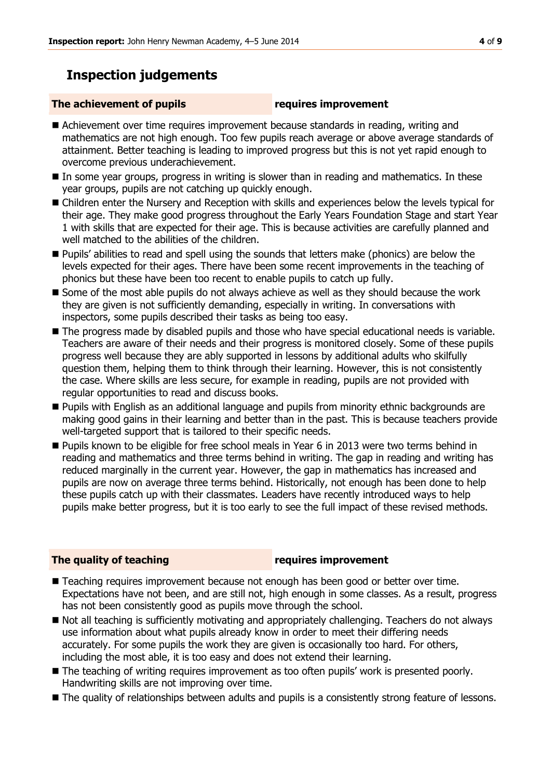# **Inspection judgements**

#### **The achievement of pupils requires improvement**

- Achievement over time requires improvement because standards in reading, writing and mathematics are not high enough. Too few pupils reach average or above average standards of attainment. Better teaching is leading to improved progress but this is not yet rapid enough to overcome previous underachievement.
- In some year groups, progress in writing is slower than in reading and mathematics. In these year groups, pupils are not catching up quickly enough.
- Children enter the Nursery and Reception with skills and experiences below the levels typical for their age. They make good progress throughout the Early Years Foundation Stage and start Year 1 with skills that are expected for their age. This is because activities are carefully planned and well matched to the abilities of the children.
- Pupils' abilities to read and spell using the sounds that letters make (phonics) are below the levels expected for their ages. There have been some recent improvements in the teaching of phonics but these have been too recent to enable pupils to catch up fully.
- Some of the most able pupils do not always achieve as well as they should because the work they are given is not sufficiently demanding, especially in writing. In conversations with inspectors, some pupils described their tasks as being too easy.
- The progress made by disabled pupils and those who have special educational needs is variable. Teachers are aware of their needs and their progress is monitored closely. Some of these pupils progress well because they are ably supported in lessons by additional adults who skilfully question them, helping them to think through their learning. However, this is not consistently the case. Where skills are less secure, for example in reading, pupils are not provided with regular opportunities to read and discuss books.
- **Pupils with English as an additional language and pupils from minority ethnic backgrounds are** making good gains in their learning and better than in the past. This is because teachers provide well-targeted support that is tailored to their specific needs.
- **Pupils known to be eligible for free school meals in Year 6 in 2013 were two terms behind in** reading and mathematics and three terms behind in writing. The gap in reading and writing has reduced marginally in the current year. However, the gap in mathematics has increased and pupils are now on average three terms behind. Historically, not enough has been done to help these pupils catch up with their classmates. Leaders have recently introduced ways to help pupils make better progress, but it is too early to see the full impact of these revised methods.

#### **The quality of teaching requires improvement**

- Teaching requires improvement because not enough has been good or better over time. Expectations have not been, and are still not, high enough in some classes. As a result, progress has not been consistently good as pupils move through the school.
- $\blacksquare$  Not all teaching is sufficiently motivating and appropriately challenging. Teachers do not always use information about what pupils already know in order to meet their differing needs accurately. For some pupils the work they are given is occasionally too hard. For others, including the most able, it is too easy and does not extend their learning.
- The teaching of writing requires improvement as too often pupils' work is presented poorly. Handwriting skills are not improving over time.
- $\blacksquare$  The quality of relationships between adults and pupils is a consistently strong feature of lessons.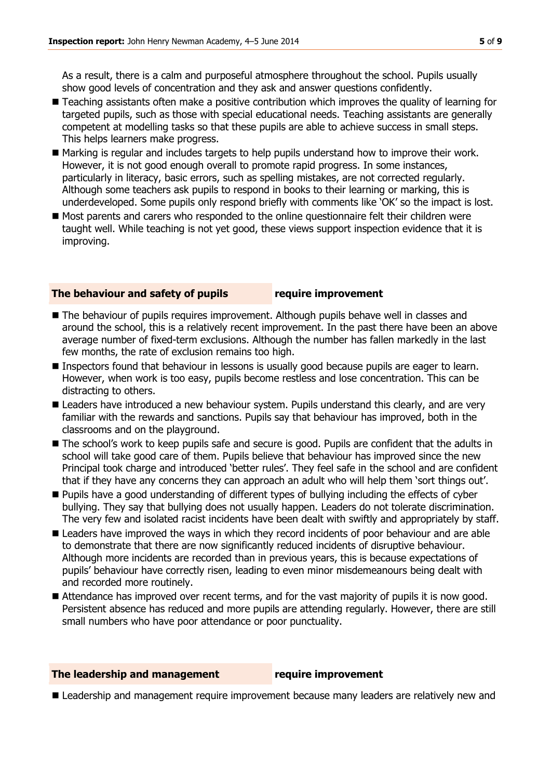As a result, there is a calm and purposeful atmosphere throughout the school. Pupils usually show good levels of concentration and they ask and answer questions confidently.

- Teaching assistants often make a positive contribution which improves the quality of learning for targeted pupils, such as those with special educational needs. Teaching assistants are generally competent at modelling tasks so that these pupils are able to achieve success in small steps. This helps learners make progress.
- Marking is regular and includes targets to help pupils understand how to improve their work. However, it is not good enough overall to promote rapid progress. In some instances, particularly in literacy, basic errors, such as spelling mistakes, are not corrected regularly. Although some teachers ask pupils to respond in books to their learning or marking, this is underdeveloped. Some pupils only respond briefly with comments like 'OK' so the impact is lost.
- Most parents and carers who responded to the online questionnaire felt their children were taught well. While teaching is not yet good, these views support inspection evidence that it is improving.

#### **The behaviour and safety of pupils require improvement**

- The behaviour of pupils requires improvement. Although pupils behave well in classes and around the school, this is a relatively recent improvement. In the past there have been an above average number of fixed-term exclusions. Although the number has fallen markedly in the last few months, the rate of exclusion remains too high.
- **Inspectors found that behaviour in lessons is usually good because pupils are eager to learn.** However, when work is too easy, pupils become restless and lose concentration. This can be distracting to others.
- **Leaders have introduced a new behaviour system. Pupils understand this clearly, and are very** familiar with the rewards and sanctions. Pupils say that behaviour has improved, both in the classrooms and on the playground.
- The school's work to keep pupils safe and secure is good. Pupils are confident that the adults in school will take good care of them. Pupils believe that behaviour has improved since the new Principal took charge and introduced 'better rules'. They feel safe in the school and are confident that if they have any concerns they can approach an adult who will help them 'sort things out'.
- **Pupils have a good understanding of different types of bullying including the effects of cyber** bullying. They say that bullying does not usually happen. Leaders do not tolerate discrimination. The very few and isolated racist incidents have been dealt with swiftly and appropriately by staff.
- Leaders have improved the ways in which they record incidents of poor behaviour and are able to demonstrate that there are now significantly reduced incidents of disruptive behaviour. Although more incidents are recorded than in previous years, this is because expectations of pupils' behaviour have correctly risen, leading to even minor misdemeanours being dealt with and recorded more routinely.
- Attendance has improved over recent terms, and for the vast majority of pupils it is now good. Persistent absence has reduced and more pupils are attending regularly. However, there are still small numbers who have poor attendance or poor punctuality.

#### **The leadership and management require improvement**

**Leadership and management require improvement because many leaders are relatively new and**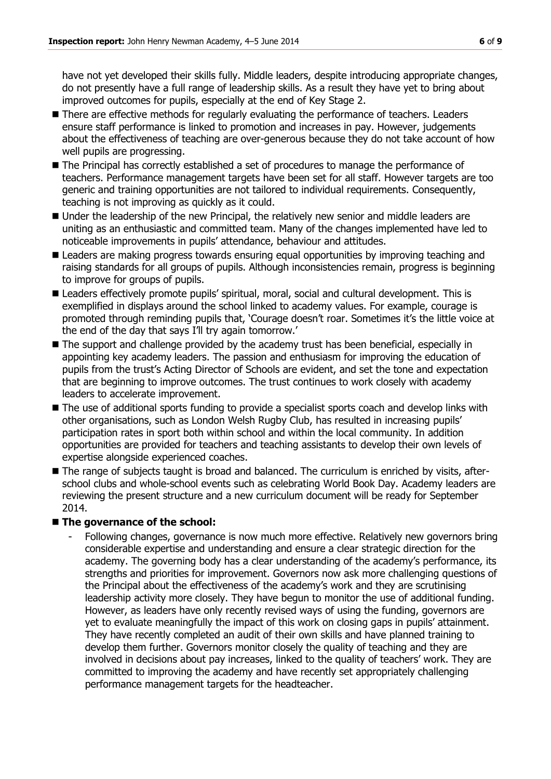have not yet developed their skills fully. Middle leaders, despite introducing appropriate changes, do not presently have a full range of leadership skills. As a result they have yet to bring about improved outcomes for pupils, especially at the end of Key Stage 2.

- **There are effective methods for regularly evaluating the performance of teachers. Leaders** ensure staff performance is linked to promotion and increases in pay. However, judgements about the effectiveness of teaching are over-generous because they do not take account of how well pupils are progressing.
- $\blacksquare$  The Principal has correctly established a set of procedures to manage the performance of teachers. Performance management targets have been set for all staff. However targets are too generic and training opportunities are not tailored to individual requirements. Consequently, teaching is not improving as quickly as it could.
- Under the leadership of the new Principal, the relatively new senior and middle leaders are uniting as an enthusiastic and committed team. Many of the changes implemented have led to noticeable improvements in pupils' attendance, behaviour and attitudes.
- **E** Leaders are making progress towards ensuring equal opportunities by improving teaching and raising standards for all groups of pupils. Although inconsistencies remain, progress is beginning to improve for groups of pupils.
- Leaders effectively promote pupils' spiritual, moral, social and cultural development. This is exemplified in displays around the school linked to academy values. For example, courage is promoted through reminding pupils that, 'Courage doesn't roar. Sometimes it's the little voice at the end of the day that says I'll try again tomorrow.'
- The support and challenge provided by the academy trust has been beneficial, especially in appointing key academy leaders. The passion and enthusiasm for improving the education of pupils from the trust's Acting Director of Schools are evident, and set the tone and expectation that are beginning to improve outcomes. The trust continues to work closely with academy leaders to accelerate improvement.
- The use of additional sports funding to provide a specialist sports coach and develop links with other organisations, such as London Welsh Rugby Club, has resulted in increasing pupils' participation rates in sport both within school and within the local community. In addition opportunities are provided for teachers and teaching assistants to develop their own levels of expertise alongside experienced coaches.
- The range of subjects taught is broad and balanced. The curriculum is enriched by visits, afterschool clubs and whole-school events such as celebrating World Book Day. Academy leaders are reviewing the present structure and a new curriculum document will be ready for September 2014.

### ■ The governance of the school:

- Following changes, governance is now much more effective. Relatively new governors bring considerable expertise and understanding and ensure a clear strategic direction for the academy. The governing body has a clear understanding of the academy's performance, its strengths and priorities for improvement. Governors now ask more challenging questions of the Principal about the effectiveness of the academy's work and they are scrutinising leadership activity more closely. They have begun to monitor the use of additional funding. However, as leaders have only recently revised ways of using the funding, governors are yet to evaluate meaningfully the impact of this work on closing gaps in pupils' attainment. They have recently completed an audit of their own skills and have planned training to develop them further. Governors monitor closely the quality of teaching and they are involved in decisions about pay increases, linked to the quality of teachers' work. They are committed to improving the academy and have recently set appropriately challenging performance management targets for the headteacher.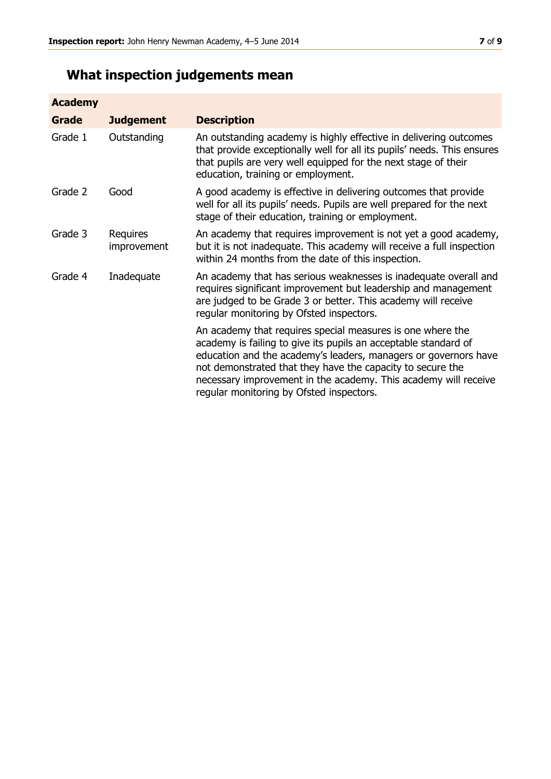# **What inspection judgements mean**

| <b>Academy</b> |                         |                                                                                                                                                                                                                                                                                                                                                                               |
|----------------|-------------------------|-------------------------------------------------------------------------------------------------------------------------------------------------------------------------------------------------------------------------------------------------------------------------------------------------------------------------------------------------------------------------------|
| Grade          | <b>Judgement</b>        | <b>Description</b>                                                                                                                                                                                                                                                                                                                                                            |
| Grade 1        | Outstanding             | An outstanding academy is highly effective in delivering outcomes<br>that provide exceptionally well for all its pupils' needs. This ensures<br>that pupils are very well equipped for the next stage of their<br>education, training or employment.                                                                                                                          |
| Grade 2        | Good                    | A good academy is effective in delivering outcomes that provide<br>well for all its pupils' needs. Pupils are well prepared for the next<br>stage of their education, training or employment.                                                                                                                                                                                 |
| Grade 3        | Requires<br>improvement | An academy that requires improvement is not yet a good academy,<br>but it is not inadequate. This academy will receive a full inspection<br>within 24 months from the date of this inspection.                                                                                                                                                                                |
| Grade 4        | Inadequate              | An academy that has serious weaknesses is inadequate overall and<br>requires significant improvement but leadership and management<br>are judged to be Grade 3 or better. This academy will receive<br>regular monitoring by Ofsted inspectors.                                                                                                                               |
|                |                         | An academy that requires special measures is one where the<br>academy is failing to give its pupils an acceptable standard of<br>education and the academy's leaders, managers or governors have<br>not demonstrated that they have the capacity to secure the<br>necessary improvement in the academy. This academy will receive<br>regular monitoring by Ofsted inspectors. |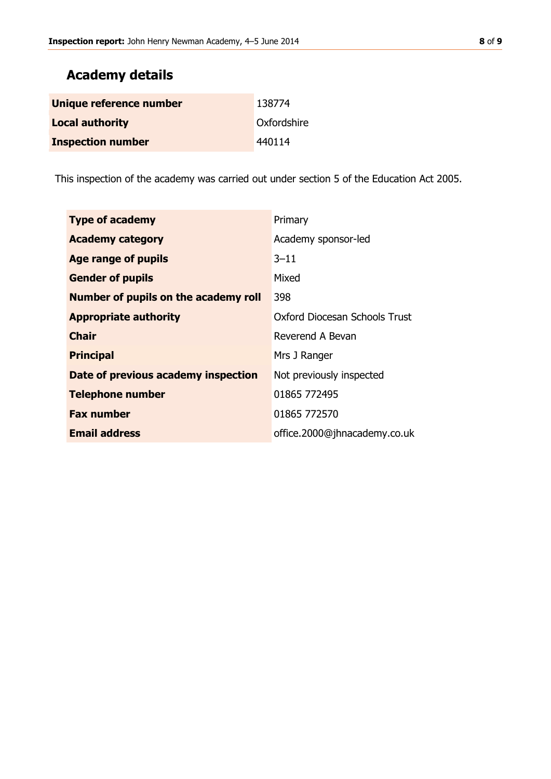# **Academy details**

| Unique reference number  | 138774      |
|--------------------------|-------------|
| <b>Local authority</b>   | Oxfordshire |
| <b>Inspection number</b> | 440114      |

This inspection of the academy was carried out under section 5 of the Education Act 2005.

| <b>Type of academy</b>               | Primary                       |
|--------------------------------------|-------------------------------|
| <b>Academy category</b>              | Academy sponsor-led           |
| Age range of pupils                  | $3 - 11$                      |
| <b>Gender of pupils</b>              | Mixed                         |
| Number of pupils on the academy roll | 398                           |
| <b>Appropriate authority</b>         | Oxford Diocesan Schools Trust |
| <b>Chair</b>                         | Reverend A Bevan              |
| <b>Principal</b>                     | Mrs J Ranger                  |
| Date of previous academy inspection  | Not previously inspected      |
| <b>Telephone number</b>              | 01865 772495                  |
| <b>Fax number</b>                    | 01865 772570                  |
| <b>Email address</b>                 | office.2000@jhnacademy.co.uk  |